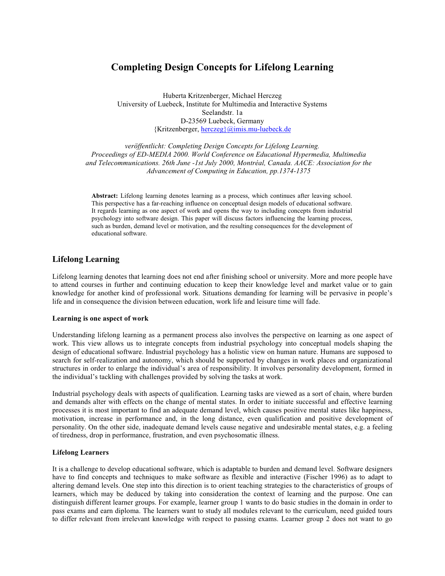# **Completing Design Concepts for Lifelong Learning**

Huberta Kritzenberger, Michael Herczeg University of Luebeck, Institute for Multimedia and Interactive Systems Seelandstr. 1a D-23569 Luebeck, Germany {Kritzenberger, herczeg}@imis.mu-luebeck.de

veröffentlicht: Completing Design Concepts for Lifelong Learning. Proceedings of ED-MEDIA 2000. World Conference on Educational Hypermedia, Multimedia and Telecommunications. 26th June -1st July 2000, Montréal, Canada. AACE: Association for the Advancement of Computing in Education, pp.1374-1375

Abstract: Lifelong learning denotes learning as a process, which continues after leaving school. This perspective has a far-reaching influence on conceptual design models of educational software. It regards learning as one aspect of work and opens the way to including concepts from industrial psychology into software design. This paper will discuss factors influencing the learning process, such as burden, demand level or motivation, and the resulting consequences for the development of educational software.

### **Lifelong Learning**

Lifelong learning denotes that learning does not end after finishing school or university. More and more people have to attend courses in further and continuing education to keep their knowledge level and market value or to gain knowledge for another kind of professional work. Situations demanding for learning will be pervasive in people's life and in consequence the division between education, work life and leisure time will fade.

### Learning is one aspect of work

Understanding lifelong learning as a permanent process also involves the perspective on learning as one aspect of work. This view allows us to integrate concepts from industrial psychology into conceptual models shaping the design of educational software. Industrial psychology has a holistic view on human nature. Humans are supposed to search for self-realization and autonomy, which should be supported by changes in work places and organizational structures in order to enlarge the individual's area of responsibility. It involves personality development, formed in the individual's tackling with challenges provided by solving the tasks at work.

Industrial psychology deals with aspects of qualification. Learning tasks are viewed as a sort of chain, where burden and demands alter with effects on the change of mental states. In order to initiate successful and effective learning processes it is most important to find an adequate demand level, which causes positive mental states like happiness, motivation, increase in performance and, in the long distance, even qualification and positive development of personality. On the other side, inadequate demand levels cause negative and undesirable mental states, e.g. a feeling of tiredness, drop in performance, frustration, and even psychosomatic illness.

### **Lifelong Learners**

It is a challenge to develop educational software, which is adaptable to burden and demand level. Software designers have to find concepts and techniques to make software as flexible and interactive (Fischer 1996) as to adapt to altering demand levels. One step into this direction is to orient teaching strategies to the characteristics of groups of learners, which may be deduced by taking into consideration the context of learning and the purpose. One can distinguish different learner groups. For example, learner group 1 wants to do basic studies in the domain in order to pass exams and earn diploma. The learners want to study all modules relevant to the curriculum, need guided tours to differ relevant from irrelevant knowledge with respect to passing exams. Learner group 2 does not want to go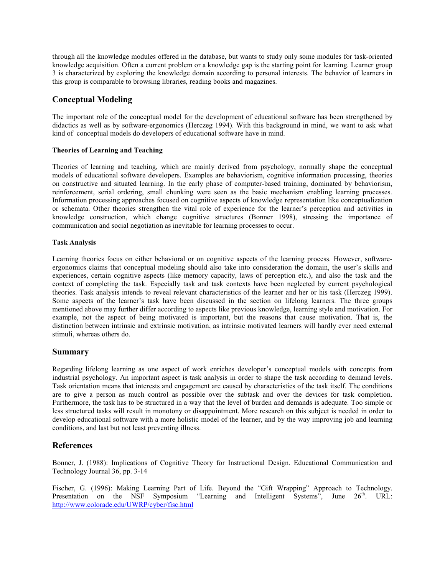through all the knowledge modules offered in the database, but wants to study only some modules for task-oriented knowledge acquisition. Often a current problem or a knowledge gap is the starting point for learning. Learner group 3 is characterized by exploring the knowledge domain according to personal interests. The behavior of learners in this group is comparable to browsing libraries, reading books and magazines.

## **Conceptual Modeling**

The important role of the conceptual model for the development of educational software has been strengthened by didactics as well as by software-ergonomics (Herczeg 1994). With this background in mind, we want to ask what kind of conceptual models do developers of educational software have in mind.

### **Theories of Learning and Teaching**

Theories of learning and teaching, which are mainly derived from psychology, normally shape the conceptual models of educational software developers. Examples are behaviorism, cognitive information processing, theories on constructive and situated learning. In the early phase of computer-based training, dominated by behaviorism, reinforcement, serial ordering, small chunking were seen as the basic mechanism enabling learning processes. Information processing approaches focused on cognitive aspects of knowledge representation like conceptualization or schemata. Other theories strengthen the vital role of experience for the learner's perception and activities in knowledge construction, which change cognitive structures (Bonner 1998), stressing the importance of communication and social negotiation as inevitable for learning processes to occur.

### **Task Analysis**

Learning theories focus on either behavioral or on cognitive aspects of the learning process. However, softwareergonomics claims that conceptual modeling should also take into consideration the domain, the user's skills and experiences, certain cognitive aspects (like memory capacity, laws of perception etc.), and also the task and the context of completing the task. Especially task and task contexts have been neglected by current psychological theories. Task analysis intends to reveal relevant characteristics of the learner and her or his task (Herczeg 1999). Some aspects of the learner's task have been discussed in the section on lifelong learners. The three groups mentioned above may further differ according to aspects like previous knowledge, learning style and motivation. For example, not the aspect of being motivated is important, but the reasons that cause motivation. That is, the distinction between intrinsic and extrinsic motivation, as intrinsic motivated learners will hardly ever need external stimuli, whereas others do.

## **Summary**

Regarding lifelong learning as one aspect of work enriches developer's conceptual models with concepts from industrial psychology. An important aspect is task analysis in order to shape the task according to demand levels. Task orientation means that interests and engagement are caused by characteristics of the task itself. The conditions are to give a person as much control as possible over the subtask and over the devices for task completion. Furthermore, the task has to be structured in a way that the level of burden and demands is adequate. Too simple or less structured tasks will result in monotony or disappointment. More research on this subject is needed in order to develop educational software with a more holistic model of the learner, and by the way improving job and learning conditions, and last but not least preventing illness.

## **References**

Bonner, J. (1988): Implications of Cognitive Theory for Instructional Design. Educational Communication and Technology Journal 36, pp. 3-14

Fischer, G. (1996): Making Learning Part of Life. Beyond the "Gift Wrapping" Approach to Technology. Presentation on the NSF Symposium "Learning and Intelligent Systems", June 26<sup>th</sup>. URL: http://www.colorade.edu/UWRP/cyber/fisc.html